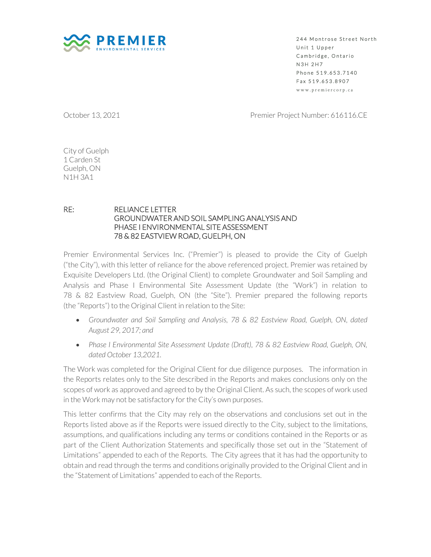

244 Montrose Street North Unit 1 Upper Cambridge, Ontario **N3H 2H7** Phone 519.653.7140 Fax 519.653.8907 w w w . p r e m i e r c o r p . c a

October 13, 2021 **Premier Project Number: 616116.CE** 

City of Guelph 1 Carden St Guelph, ON N1H 3A1

## RE: RELIANCE LETTER GROUNDWATER AND SOIL SAMPLING ANALYSIS AND PHASE I ENVIRONMENTAL SITE ASSESSMENT 78 & 82 EASTVIEW ROAD, GUELPH, ON

Premier Environmental Services Inc. ("Premier") is pleased to provide the City of Guelph ("the City"), with this letter of reliance for the above referenced project. Premier was retained by Exquisite Developers Ltd. (the Original Client) to complete Groundwater and Soil Sampling and Analysis and Phase I Environmental Site Assessment Update (the "Work") in relation to 78 & 82 Eastview Road, Guelph, ON (the "Site"). Premier prepared the following reports (the "Reports") to the Original Client in relation to the Site:

- *Groundwater and Soil Sampling and Analysis, 78 & 82 Eastview Road, Guelph, ON, dated August 29, 2017; and*
- *Phase I Environmental Site Assessment Update (Draft), 78 & 82 Eastview Road, Guelph, ON, dated October 13,2021.*

The Work was completed for the Original Client for due diligence purposes. The information in the Reports relates only to the Site described in the Reports and makes conclusions only on the scopes of work as approved and agreed to by the Original Client. As such, the scopes of work used in the Work may not be satisfactory for the City's own purposes.

This letter confirms that the City may rely on the observations and conclusions set out in the Reports listed above as if the Reports were issued directly to the City, subject to the limitations, assumptions, and qualifications including any terms or conditions contained in the Reports or as part of the Client Authorization Statements and specifically those set out in the "Statement of Limitations" appended to each of the Reports. The City agrees that it has had the opportunity to obtain and read through the terms and conditions originally provided to the Original Client and in the "Statement of Limitations" appended to each of the Reports.